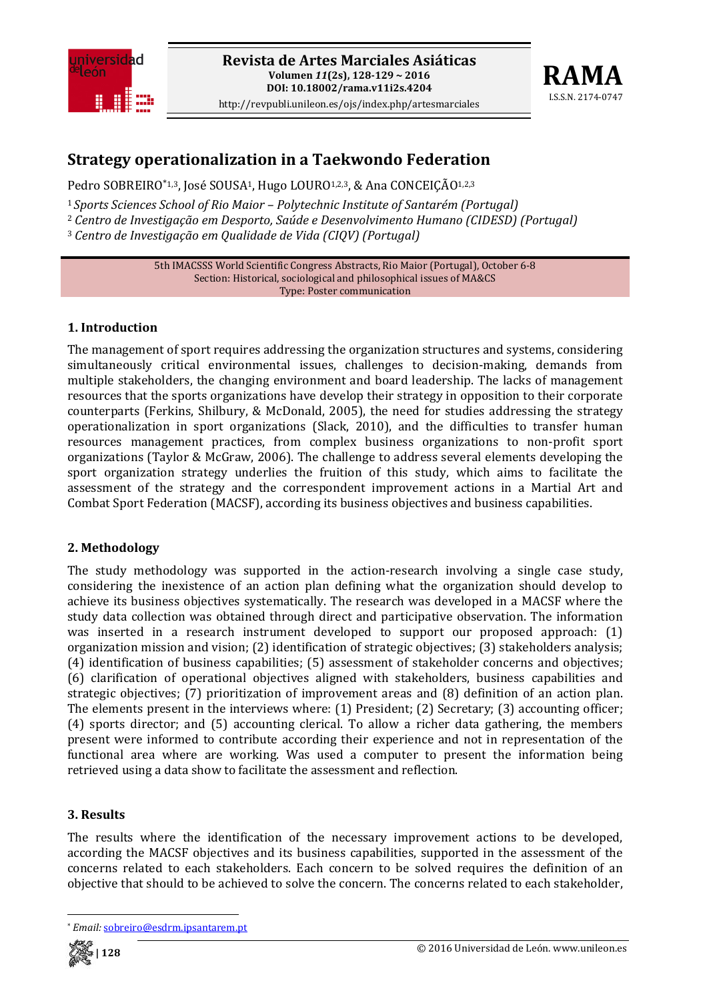



# **Strategy operationalization in a Taekwondo Federation**

Pedro SOBREIRO\*1,3, José SOUSA<sup>1</sup>, Hugo LOURO<sup>1,2,3</sup>, & Ana CONCEIÇÃO<sup>1,2,3</sup>

<sup>1</sup>*Sports Sciences School of Rio Maior – Polytechnic Institute of Santarém (Portugal)*

<sup>2</sup> *Centro de Investigação em Desporto, Saúde e Desenvolvimento Humano (CIDESD) (Portugal)*

<sup>3</sup> *Centro de Investigação em Qualidade de Vida (CIQV) (Portugal)*

5th IMACSSS World Scientific Congress Abstracts, Rio Maior (Portugal), October 6‐8 Section: Historical, sociological and philosophical issues of MA&CS Type: Poster communication

## **1. Introduction**

The management of sport requires addressing the organization structures and systems, considering simultaneously critical environmental issues, challenges to decision-making, demands from multiple stakeholders, the changing environment and board leadership. The lacks of management resources that the sports organizations have develop their strategy in opposition to their corporate counterparts (Ferkins, Shilbury, & McDonald, 2005), the need for studies addressing the strategy operationalization in sport organizations (Slack, 2010), and the difficulties to transfer human resources management practices, from complex business organizations to non‐profit sport organizations (Taylor & McGraw, 2006). The challenge to address several elements developing the sport organization strategy underlies the fruition of this study, which aims to facilitate the assessment of the strategy and the correspondent improvement actions in a Martial Art and Combat Sport Federation (MACSF), according its business objectives and business capabilities.

#### **2. Methodology**

The study methodology was supported in the action-research involving a single case study, considering the inexistence of an action plan defining what the organization should develop to achieve its business objectives systematically. The research was developed in a MACSF where the study data collection was obtained through direct and participative observation. The information was inserted in a research instrument developed to support our proposed approach: (1) organization mission and vision; (2) identification of strategic objectives; (3) stakeholders analysis; (4) identification of business capabilities; (5) assessment of stakeholder concerns and objectives; (6) clarification of operational objectives aligned with stakeholders, business capabilities and strategic objectives; (7) prioritization of improvement areas and (8) definition of an action plan. The elements present in the interviews where: (1) President; (2) Secretary; (3) accounting officer; (4) sports director; and (5) accounting clerical. To allow a richer data gathering, the members present were informed to contribute according their experience and not in representation of the functional area where are working. Was used a computer to present the information being retrieved using a data show to facilitate the assessment and reflection.

#### **3. Results**

The results where the identification of the necessary improvement actions to be developed, according the MACSF objectives and its business capabilities, supported in the assessment of the concerns related to each stakeholders. Each concern to be solved requires the definition of an objective that should to be achieved to solve the concern. The concerns related to each stakeholder,

 \* *Email:* sobreiro@esdrm.ipsantarem.pt